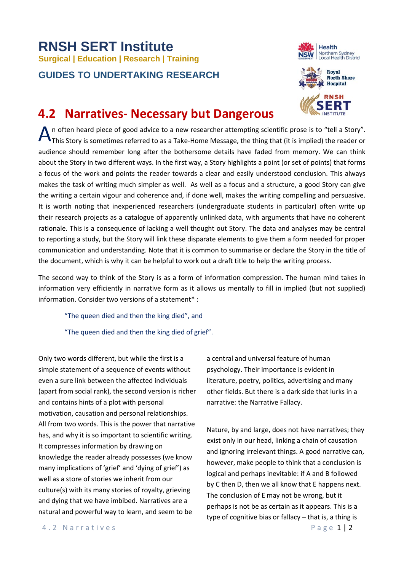## **RNSH SERT Institute Surgical | Education | Research | Training GUIDES TO UNDERTAKING RESEARCH**





## **4.2 Narratives- Necessary but Dangerous**

n often heard piece of good advice to a new researcher attempting scientific prose is to "tell a Story". A n often heard piece of good advice to a new researcher attempting scientific prose is to "tell a Story".<br>This Story is sometimes referred to as a Take-Home Message, the thing that (it is implied) the reader or audience should remember long after the bothersome details have faded from memory. We can think about the Story in two different ways. In the first way, a Story highlights a point (or set of points) that forms a focus of the work and points the reader towards a clear and easily understood conclusion. This always makes the task of writing much simpler as well. As well as a focus and a structure, a good Story can give the writing a certain vigour and coherence and, if done well, makes the writing compelling and persuasive. It is worth noting that inexperienced researchers (undergraduate students in particular) often write up their research projects as a catalogue of apparently unlinked data, with arguments that have no coherent rationale. This is a consequence of lacking a well thought out Story. The data and analyses may be central to reporting a study, but the Story will link these disparate elements to give them a form needed for proper communication and understanding. Note that it is common to summarise or declare the Story in the title of the document, which is why it can be helpful to work out a draft title to help the writing process.

The second way to think of the Story is as a form of information compression. The human mind takes in information very efficiently in narrative form as it allows us mentally to fill in implied (but not supplied) information. Consider two versions of a statement\* :

"The queen died and then the king died", and

"The queen died and then the king died of grief".

Only two words different, but while the first is a simple statement of a sequence of events without even a sure link between the affected individuals (apart from social rank), the second version is richer and contains hints of a plot with personal motivation, causation and personal relationships. All from two words. This is the power that narrative has, and why it is so important to scientific writing. It compresses information by drawing on knowledge the reader already possesses (we know many implications of 'grief' and 'dying of grief') as well as a store of stories we inherit from our culture(s) with its many stories of royalty, grieving and dying that we have imbibed. Narratives are a natural and powerful way to learn, and seem to be

a central and universal feature of human psychology. Their importance is evident in literature, poetry, politics, advertising and many other fields. But there is a dark side that lurks in a narrative: the Narrative Fallacy.

Nature, by and large, does not have narratives; they exist only in our head, linking a chain of causation and ignoring irrelevant things. A good narrative can, however, make people to think that a conclusion is logical and perhaps inevitable: if A and B followed by C then D, then we all know that E happens next. The conclusion of E may not be wrong, but it perhaps is not be as certain as it appears. This is a type of cognitive bias or fallacy – that is, a thing is